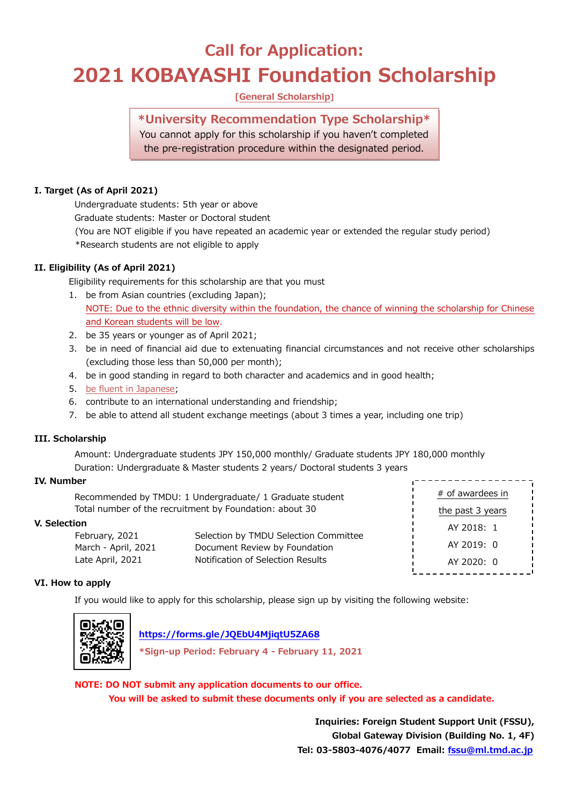# **Call for Application: 2021 KOBAYASHI Foundation Scholarship**

# **[General Scholarship]**

# **\*University Recommendation Type Scholarship\***

You cannot apply for this scholarship if you haven't completed the pre-registration procedure within the designated period.

### **I. Target (As of April 2021)**

Undergraduate students: 5th year or above

Graduate students: Master or Doctoral student

- (You are NOT eligible if you have repeated an academic year or extended the regular study period)
- \*Research students are not eligible to apply

# **II. Eligibility (As of April 2021)**

Eligibility requirements for this scholarship are that you must

- 1. be from Asian countries (excluding Japan); NOTE: Due to the ethnic diversity within the foundation, the chance of winning the scholarship for Chinese and Korean students will be low.
- 2. be 35 years or younger as of April 2021;
- 3. be in need of financial aid due to extenuating financial circumstances and not receive other scholarships (excluding those less than 50,000 per month);
- 4. be in good standing in regard to both character and academics and in good health;
- 5. be fluent in Japanese;
- 6. contribute to an international understanding and friendship;
- 7. be able to attend all student exchange meetings (about 3 times a year, including one trip)

### **III. Scholarship**

Amount: Undergraduate students JPY 150,000 monthly/ Graduate students JPY 180,000 monthly Duration: Undergraduate & Master students 2 years/ Doctoral students 3 years

### **IV. Number**

| Recommended by TMDU: 1 Undergraduate/ 1 Graduate student |                                       | # of awardees in |
|----------------------------------------------------------|---------------------------------------|------------------|
| Total number of the recruitment by Foundation: about 30  |                                       | the past 3 years |
| V. Selection                                             |                                       | AY 2018: 1       |
| February, 2021                                           | Selection by TMDU Selection Committee | AY 2019: 0       |
| March - April, 2021                                      | Document Review by Foundation         |                  |
| Late April, 2021                                         | Notification of Selection Results     | AY 2020: 0       |

### **VI. How to apply**

If you would like to apply for this scholarship, please sign up by visiting the following website:



 **<https://forms.gle/JQEbU4MjiqtU5ZA68>**

**\*Sign-up Period: February 4 - February 11, 2021**

**NOTE: DO NOT submit any application documents to our office. You will be asked to submit these documents only if you are selected as a candidate.**

> **Inquiries: Foreign Student Support Unit (FSSU), Global Gateway Division (Building No. 1, 4F) Tel: 03-5803-4076/4077 Email: [fssu@ml.tmd.ac.jp](mailto:fssu@ml.tmd.ac.jp)**

,------------------